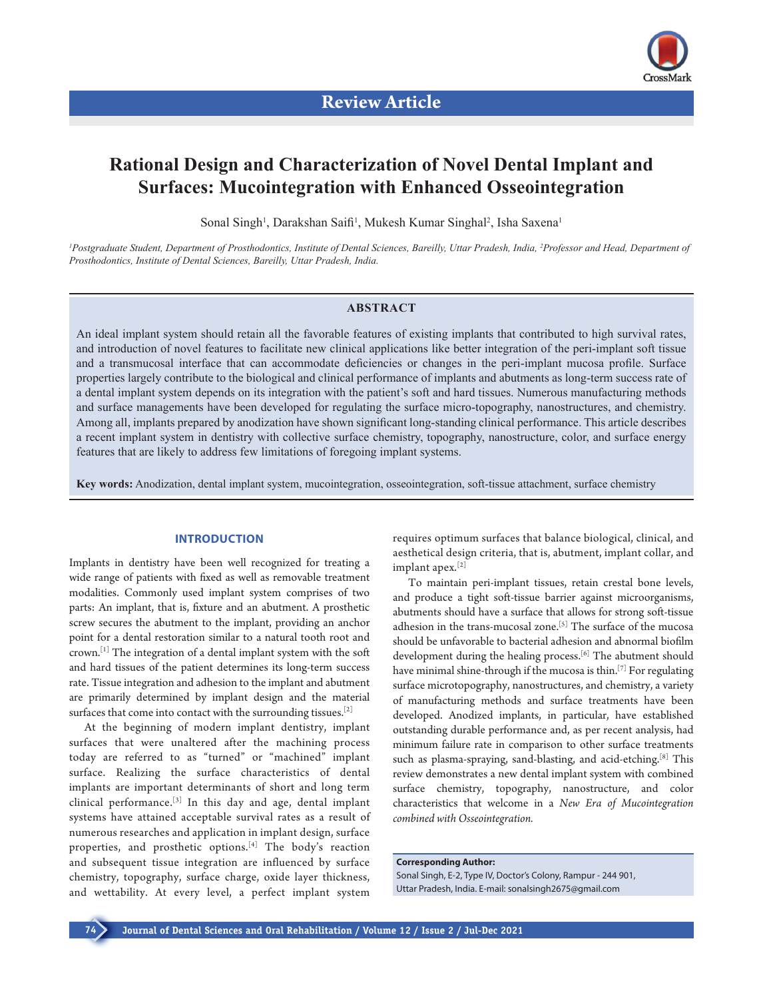

# **Rational Design and Characterization of Novel Dental Implant and Surfaces: Mucointegration with Enhanced Osseointegration**

Sonal Singh<sup>1</sup>, Darakshan Saifi<sup>1</sup>, Mukesh Kumar Singhal<sup>2</sup>, Isha Saxena<sup>1</sup>

<sup>1</sup> Postgraduate Student, Department of Prosthodontics, Institute of Dental Sciences, Bareilly, Uttar Pradesh, India, <sup>2</sup> Professor and Head, Department of *Prosthodontics, Institute of Dental Sciences, Bareilly, Uttar Pradesh, India.*

# **ABSTRACT**

An ideal implant system should retain all the favorable features of existing implants that contributed to high survival rates, and introduction of novel features to facilitate new clinical applications like better integration of the peri-implant soft tissue and a transmucosal interface that can accommodate deficiencies or changes in the peri-implant mucosa profile. Surface properties largely contribute to the biological and clinical performance of implants and abutments as long-term success rate of a dental implant system depends on its integration with the patient's soft and hard tissues. Numerous manufacturing methods and surface managements have been developed for regulating the surface micro-topography, nanostructures, and chemistry. Among all, implants prepared by anodization have shown significant long-standing clinical performance. This article describes a recent implant system in dentistry with collective surface chemistry, topography, nanostructure, color, and surface energy features that are likely to address few limitations of foregoing implant systems.

**Key words:** Anodization, dental implant system, mucointegration, osseointegration, soft-tissue attachment, surface chemistry

# **INTRODUCTION**

Implants in dentistry have been well recognized for treating a wide range of patients with fixed as well as removable treatment modalities. Commonly used implant system comprises of two parts: An implant, that is, fixture and an abutment. A prosthetic screw secures the abutment to the implant, providing an anchor point for a dental restoration similar to a natural tooth root and crown.[1] The integration of a dental implant system with the soft and hard tissues of the patient determines its long-term success rate. Tissue integration and adhesion to the implant and abutment are primarily determined by implant design and the material surfaces that come into contact with the surrounding tissues.<sup>[2]</sup>

At the beginning of modern implant dentistry, implant surfaces that were unaltered after the machining process today are referred to as "turned" or "machined" implant surface. Realizing the surface characteristics of dental implants are important determinants of short and long term clinical performance.[3] In this day and age, dental implant systems have attained acceptable survival rates as a result of numerous researches and application in implant design, surface properties, and prosthetic options.<sup>[4]</sup> The body's reaction and subsequent tissue integration are influenced by surface chemistry, topography, surface charge, oxide layer thickness, and wettability. At every level, a perfect implant system requires optimum surfaces that balance biological, clinical, and aesthetical design criteria, that is, abutment, implant collar, and implant apex.[2]

To maintain peri-implant tissues, retain crestal bone levels, and produce a tight soft-tissue barrier against microorganisms, abutments should have a surface that allows for strong soft-tissue adhesion in the trans-mucosal zone.<sup>[5]</sup> The surface of the mucosa should be unfavorable to bacterial adhesion and abnormal biofilm development during the healing process.<sup>[6]</sup> The abutment should have minimal shine-through if the mucosa is thin.<sup>[7]</sup> For regulating surface microtopography, nanostructures, and chemistry, a variety of manufacturing methods and surface treatments have been developed. Anodized implants, in particular, have established outstanding durable performance and, as per recent analysis, had minimum failure rate in comparison to other surface treatments such as plasma-spraying, sand-blasting, and acid-etching.<sup>[8]</sup> This review demonstrates a new dental implant system with combined surface chemistry, topography, nanostructure, and color characteristics that welcome in a *New Era of Mucointegration combined with Osseointegration.*

**Corresponding Author:**

Sonal Singh, E-2, Type IV, Doctor's Colony, Rampur - 244 901, Uttar Pradesh, India. E-mail: sonalsingh2675@gmail.com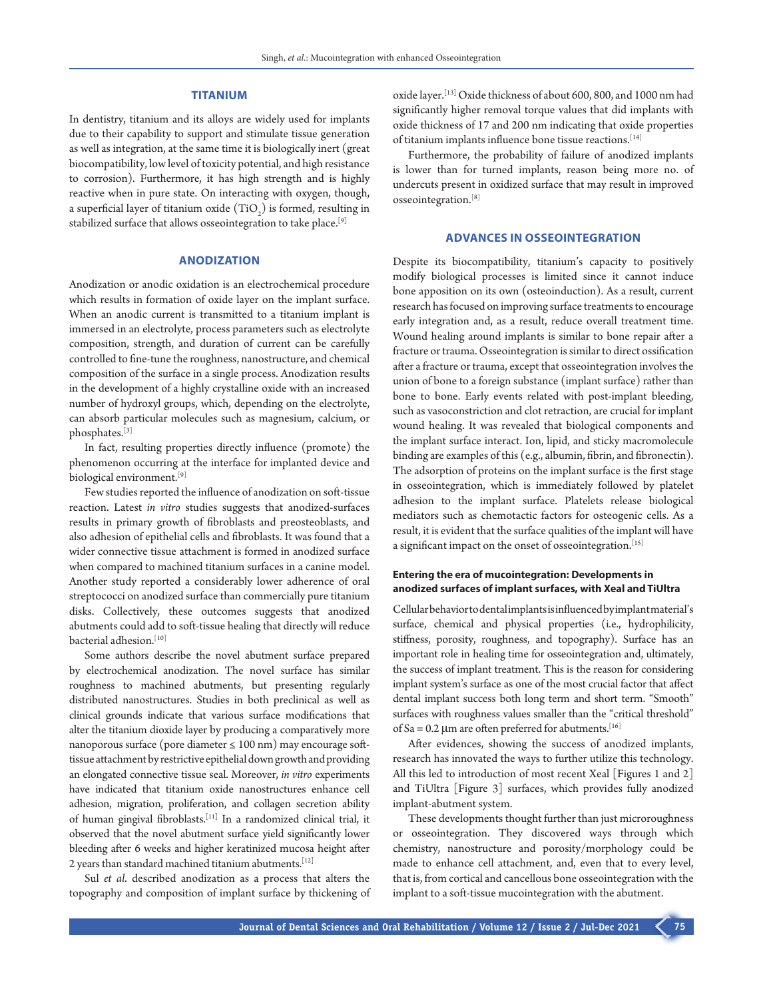### **TITANIUM**

In dentistry, titanium and its alloys are widely used for implants due to their capability to support and stimulate tissue generation as well as integration, at the same time it is biologically inert (great biocompatibility, low level of toxicity potential, and high resistance to corrosion). Furthermore, it has high strength and is highly reactive when in pure state. On interacting with oxygen, though, a superficial layer of titanium oxide  $(TiO_2)$  is formed, resulting in stabilized surface that allows osseointegration to take place.[9]

### **ANODIZATION**

Anodization or anodic oxidation is an electrochemical procedure which results in formation of oxide layer on the implant surface. When an anodic current is transmitted to a titanium implant is immersed in an electrolyte, process parameters such as electrolyte composition, strength, and duration of current can be carefully controlled to fine-tune the roughness, nanostructure, and chemical composition of the surface in a single process. Anodization results in the development of a highly crystalline oxide with an increased number of hydroxyl groups, which, depending on the electrolyte, can absorb particular molecules such as magnesium, calcium, or phosphates.[3]

In fact, resulting properties directly influence (promote) the phenomenon occurring at the interface for implanted device and biological environment.[9]

Few studies reported the influence of anodization on soft-tissue reaction. Latest *in vitro* studies suggests that anodized-surfaces results in primary growth of fibroblasts and preosteoblasts, and also adhesion of epithelial cells and fibroblasts. It was found that a wider connective tissue attachment is formed in anodized surface when compared to machined titanium surfaces in a canine model. Another study reported a considerably lower adherence of oral streptococci on anodized surface than commercially pure titanium disks. Collectively, these outcomes suggests that anodized abutments could add to soft-tissue healing that directly will reduce bacterial adhesion.<sup>[10]</sup>

Some authors describe the novel abutment surface prepared by electrochemical anodization. The novel surface has similar roughness to machined abutments, but presenting regularly distributed nanostructures. Studies in both preclinical as well as clinical grounds indicate that various surface modifications that alter the titanium dioxide layer by producing a comparatively more nanoporous surface (pore diameter ≤ 100 nm) may encourage softtissue attachment by restrictive epithelial down growth and providing an elongated connective tissue seal. Moreover, *in vitro* experiments have indicated that titanium oxide nanostructures enhance cell adhesion, migration, proliferation, and collagen secretion ability of human gingival fibroblasts.[11] In a randomized clinical trial, it observed that the novel abutment surface yield significantly lower bleeding after 6 weeks and higher keratinized mucosa height after 2 years than standard machined titanium abutments.[12]

Sul *et al*. described anodization as a process that alters the topography and composition of implant surface by thickening of oxide layer.[13] Oxide thickness of about 600, 800, and 1000 nm had significantly higher removal torque values that did implants with oxide thickness of 17 and 200 nm indicating that oxide properties of titanium implants influence bone tissue reactions.[14]

Furthermore, the probability of failure of anodized implants is lower than for turned implants, reason being more no. of undercuts present in oxidized surface that may result in improved osseointegration.[8]

# **ADVANCES IN OSSEOINTEGRATION**

Despite its biocompatibility, titanium's capacity to positively modify biological processes is limited since it cannot induce bone apposition on its own (osteoinduction). As a result, current research has focused on improving surface treatments to encourage early integration and, as a result, reduce overall treatment time. Wound healing around implants is similar to bone repair after a fracture or trauma. Osseointegration is similar to direct ossification after a fracture or trauma, except that osseointegration involves the union of bone to a foreign substance (implant surface) rather than bone to bone. Early events related with post-implant bleeding, such as vasoconstriction and clot retraction, are crucial for implant wound healing. It was revealed that biological components and the implant surface interact. Ion, lipid, and sticky macromolecule binding are examples of this (e.g., albumin, fibrin, and fibronectin). The adsorption of proteins on the implant surface is the first stage in osseointegration, which is immediately followed by platelet adhesion to the implant surface. Platelets release biological mediators such as chemotactic factors for osteogenic cells. As a result, it is evident that the surface qualities of the implant will have a significant impact on the onset of osseointegration.<sup>[15]</sup>

# **Entering the era of mucointegration: Developments in anodized surfaces of implant surfaces, with Xeal and TiUltra**

Cellular behavior to dental implants is influenced by implant material's surface, chemical and physical properties (i.e., hydrophilicity, stiffness, porosity, roughness, and topography). Surface has an important role in healing time for osseointegration and, ultimately, the success of implant treatment. This is the reason for considering implant system's surface as one of the most crucial factor that affect dental implant success both long term and short term. "Smooth" surfaces with roughness values smaller than the "critical threshold" of Sa =  $0.2 \mu$ m are often preferred for abutments.<sup>[16]</sup>

After evidences, showing the success of anodized implants, research has innovated the ways to further utilize this technology. All this led to introduction of most recent Xeal [Figures 1 and 2] and TiUltra [Figure 3] surfaces, which provides fully anodized implant-abutment system.

These developments thought further than just microroughness or osseointegration. They discovered ways through which chemistry, nanostructure and porosity/morphology could be made to enhance cell attachment, and, even that to every level, that is, from cortical and cancellous bone osseointegration with the implant to a soft-tissue mucointegration with the abutment.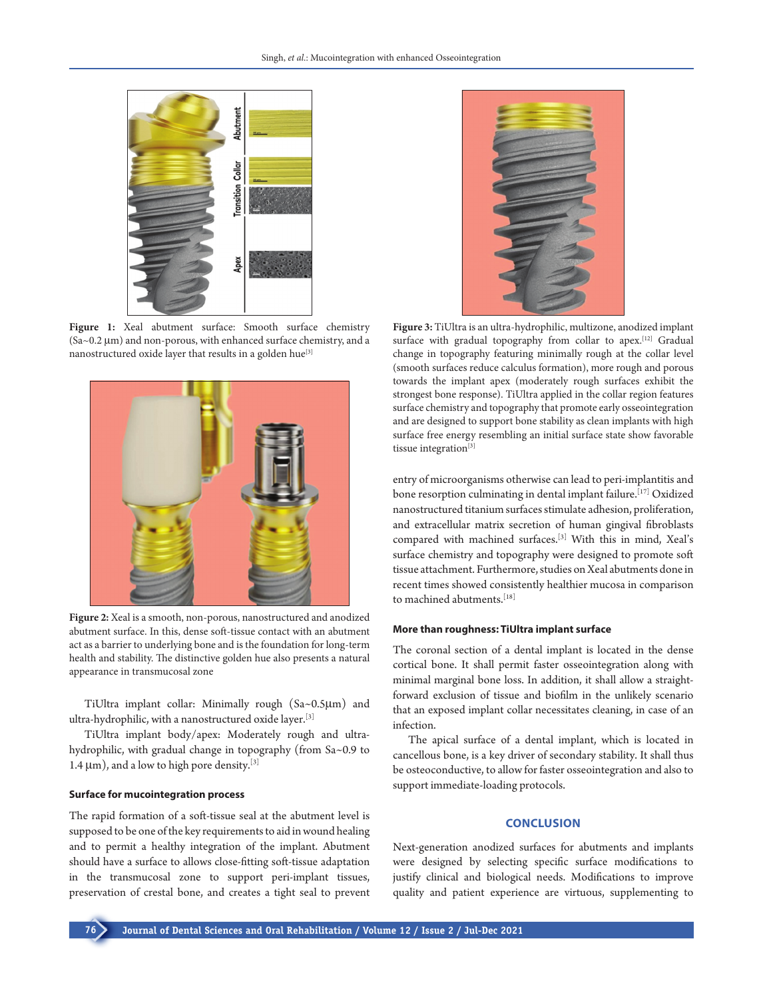

Figure 1: Xeal abutment surface: Smooth surface chemistry (Sa~0.2 µm) and non-porous, with enhanced surface chemistry, and a nanostructured oxide layer that results in a golden hue<sup>[3]</sup>



**Figure 2:** Xeal is a smooth, non-porous, nanostructured and anodized abutment surface. In this, dense soft-tissue contact with an abutment act as a barrier to underlying bone and is the foundation for long-term health and stability. The distinctive golden hue also presents a natural appearance in transmucosal zone

TiUltra implant collar: Minimally rough (Sa~0.5µm) and ultra-hydrophilic, with a nanostructured oxide layer.[3]

TiUltra implant body/apex: Moderately rough and ultrahydrophilic, with gradual change in topography (from Sa~0.9 to 1.4  $\mu$ m), and a low to high pore density.<sup>[3]</sup>

#### **Surface for mucointegration process**

The rapid formation of a soft-tissue seal at the abutment level is supposed to be one of the key requirements to aid in wound healing and to permit a healthy integration of the implant. Abutment should have a surface to allows close-fitting soft-tissue adaptation in the transmucosal zone to support peri-implant tissues, preservation of crestal bone, and creates a tight seal to prevent



**Figure 3:** TiUltra is an ultra-hydrophilic, multizone, anodized implant surface with gradual topography from collar to apex.[12] Gradual change in topography featuring minimally rough at the collar level (smooth surfaces reduce calculus formation), more rough and porous towards the implant apex (moderately rough surfaces exhibit the strongest bone response). TiUltra applied in the collar region features surface chemistry and topography that promote early osseointegration and are designed to support bone stability as clean implants with high surface free energy resembling an initial surface state show favorable tissue integration<sup>[3]</sup>

entry of microorganisms otherwise can lead to peri-implantitis and bone resorption culminating in dental implant failure.[17] Oxidized nanostructured titanium surfaces stimulate adhesion, proliferation, and extracellular matrix secretion of human gingival fibroblasts compared with machined surfaces.[3] With this in mind, Xeal's surface chemistry and topography were designed to promote soft tissue attachment. Furthermore, studies on Xeal abutments done in recent times showed consistently healthier mucosa in comparison to machined abutments.[18]

#### **More than roughness: TiUltra implant surface**

The coronal section of a dental implant is located in the dense cortical bone. It shall permit faster osseointegration along with minimal marginal bone loss. In addition, it shall allow a straightforward exclusion of tissue and biofilm in the unlikely scenario that an exposed implant collar necessitates cleaning, in case of an infection.

The apical surface of a dental implant, which is located in cancellous bone, is a key driver of secondary stability. It shall thus be osteoconductive, to allow for faster osseointegration and also to support immediate-loading protocols.

#### **CONCLUSION**

Next-generation anodized surfaces for abutments and implants were designed by selecting specific surface modifications to justify clinical and biological needs. Modifications to improve quality and patient experience are virtuous, supplementing to